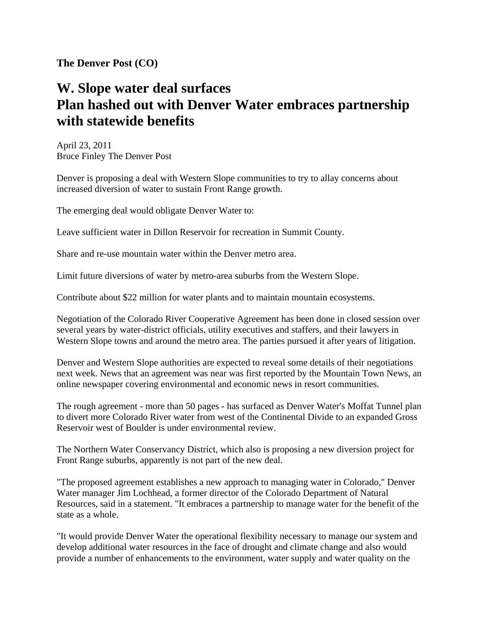**The Denver Post (CO)** 

## **W. Slope water deal surfaces Plan hashed out with Denver Water embraces partnership with statewide benefits**

April 23, 2011 Bruce Finley The Denver Post

Denver is proposing a deal with Western Slope communities to try to allay concerns about increased diversion of water to sustain Front Range growth.

The emerging deal would obligate Denver Water to:

Leave sufficient water in Dillon Reservoir for recreation in Summit County.

Share and re-use mountain water within the Denver metro area.

Limit future diversions of water by metro-area suburbs from the Western Slope.

Contribute about \$22 million for water plants and to maintain mountain ecosystems.

Negotiation of the Colorado River Cooperative Agreement has been done in closed session over several years by water-district officials, utility executives and staffers, and their lawyers in Western Slope towns and around the metro area. The parties pursued it after years of litigation.

Denver and Western Slope authorities are expected to reveal some details of their negotiations next week. News that an agreement was near was first reported by the Mountain Town News, an online newspaper covering environmental and economic news in resort communities.

The rough agreement - more than 50 pages - has surfaced as Denver Water's Moffat Tunnel plan to divert more Colorado River water from west of the Continental Divide to an expanded Gross Reservoir west of Boulder is under environmental review.

The Northern Water Conservancy District, which also is proposing a new diversion project for Front Range suburbs, apparently is not part of the new deal.

"The proposed agreement establishes a new approach to managing water in Colorado," Denver Water manager Jim Lochhead, a former director of the Colorado Department of Natural Resources, said in a statement. "It embraces a partnership to manage water for the benefit of the state as a whole.

"It would provide Denver Water the operational flexibility necessary to manage our system and develop additional water resources in the face of drought and climate change and also would provide a number of enhancements to the environment, water supply and water quality on the